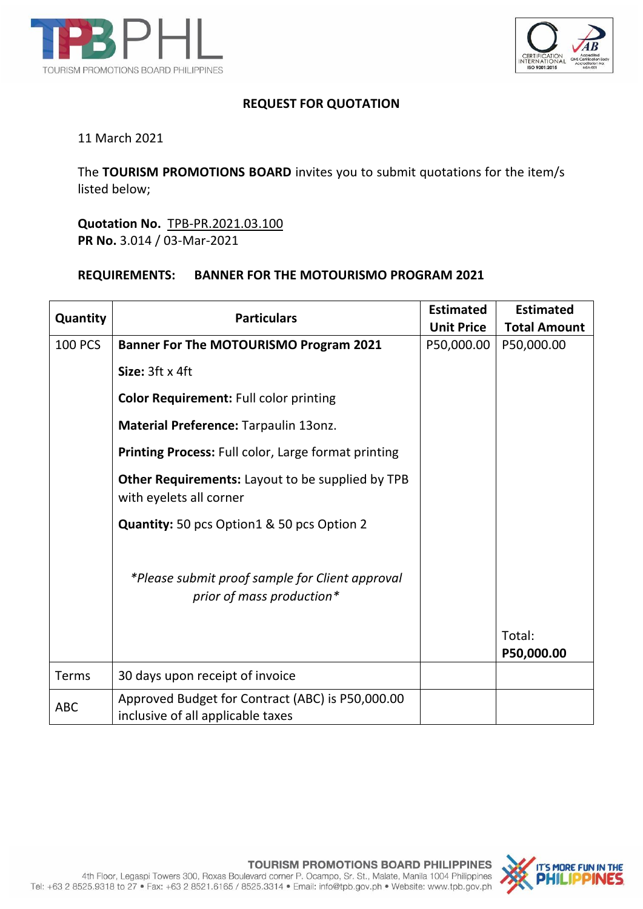



## **REQUEST FOR QUOTATION**

## 11 March 2021

The **TOURISM PROMOTIONS BOARD** invites you to submit quotations for the item/s listed below;

**Quotation No.** TPB-PR.2021.03.100 **PR No.** 3.014 / 03-Mar-2021

## **REQUIREMENTS: BANNER FOR THE MOTOURISMO PROGRAM 2021**

| Quantity       | <b>Particulars</b>                                                                    | <b>Estimated</b>  | <b>Estimated</b>     |
|----------------|---------------------------------------------------------------------------------------|-------------------|----------------------|
|                |                                                                                       | <b>Unit Price</b> | <b>Total Amount</b>  |
| <b>100 PCS</b> | <b>Banner For The MOTOURISMO Program 2021</b>                                         | P50,000.00        | P50,000.00           |
|                | Size: 3ft x 4ft                                                                       |                   |                      |
|                | <b>Color Requirement: Full color printing</b>                                         |                   |                      |
|                | Material Preference: Tarpaulin 13onz.                                                 |                   |                      |
|                | Printing Process: Full color, Large format printing                                   |                   |                      |
|                | <b>Other Requirements:</b> Layout to be supplied by TPB<br>with eyelets all corner    |                   |                      |
|                | Quantity: 50 pcs Option1 & 50 pcs Option 2                                            |                   |                      |
|                | *Please submit proof sample for Client approval<br>prior of mass production*          |                   |                      |
|                |                                                                                       |                   | Total:<br>P50,000.00 |
| Terms          | 30 days upon receipt of invoice                                                       |                   |                      |
| <b>ABC</b>     | Approved Budget for Contract (ABC) is P50,000.00<br>inclusive of all applicable taxes |                   |                      |